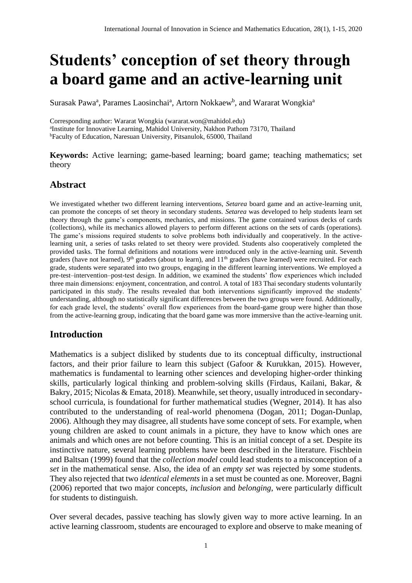# **Students' conception of set theory through a board game and an active-learning unit**

Surasak Pawa<sup>a</sup>, Parames Laosinchai<sup>a</sup>, Artorn Nokkaew<sup>b</sup>, and Wararat Wongkia<sup>a</sup>

Corresponding author: Wararat Wongkia (wararat.won@mahidol.edu) a Institute for Innovative Learning, Mahidol University, Nakhon Pathom 73170, Thailand <sup>b</sup>Faculty of Education, Naresuan University, Pitsanulok, 65000, Thailand

**Keywords:** Active learning; game-based learning; board game; teaching mathematics; set theory

# **Abstract**

We investigated whether two different learning interventions, *Setarea* board game and an active-learning unit, can promote the concepts of set theory in secondary students. *Setarea* was developed to help students learn set theory through the game's components, mechanics, and missions. The game contained various decks of cards (collections), while its mechanics allowed players to perform different actions on the sets of cards (operations). The game's missions required students to solve problems both individually and cooperatively. In the activelearning unit, a series of tasks related to set theory were provided. Students also cooperatively completed the provided tasks. The formal definitions and notations were introduced only in the active-learning unit. Seventh graders (have not learned),  $9<sup>th</sup>$  graders (about to learn), and  $11<sup>th</sup>$  graders (have learned) were recruited. For each grade, students were separated into two groups, engaging in the different learning interventions. We employed a pre-test–intervention–post-test design. In addition, we examined the students' flow experiences which included three main dimensions: enjoyment, concentration, and control. A total of 183 Thai secondary students voluntarily participated in this study. The results revealed that both interventions significantly improved the students' understanding, although no statistically significant differences between the two groups were found. Additionally, for each grade level, the students' overall flow experiences from the board-game group were higher than those from the active-learning group, indicating that the board game was more immersive than the active-learning unit.

# **Introduction**

Mathematics is a subject disliked by students due to its conceptual difficulty, instructional factors, and their prior failure to learn this subject (Gafoor & Kurukkan, 2015). However, mathematics is fundamental to learning other sciences and developing higher-order thinking skills, particularly logical thinking and problem-solving skills (Firdaus, Kailani, Bakar, & Bakry, 2015; Nicolas & Emata, 2018). Meanwhile, set theory, usually introduced in secondaryschool curricula, is foundational for further mathematical studies (Wegner, 2014). It has also contributed to the understanding of real-world phenomena (Dogan, 2011; Dogan-Dunlap, 2006). Although they may disagree, all students have some concept of sets. For example, when young children are asked to count animals in a picture, they have to know which ones are animals and which ones are not before counting. This is an initial concept of a set. Despite its instinctive nature, several learning problems have been described in the literature. Fischbein and Baltsan (1999) found that the *collection model* could lead students to a misconception of a *set* in the mathematical sense. Also, the idea of an *empty set* was rejected by some students. They also rejected that two *identical elements* in a set must be counted as one. Moreover, Bagni (2006) reported that two major concepts, *inclusion* and *belonging*, were particularly difficult for students to distinguish.

Over several decades, passive teaching has slowly given way to more active learning. In an active learning classroom, students are encouraged to explore and observe to make meaning of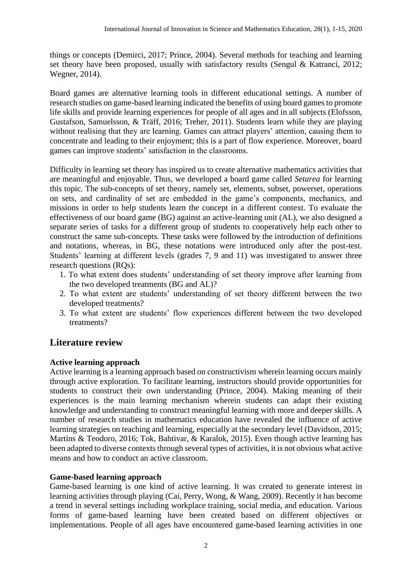things or concepts (Demirci, 2017; Prince, 2004). Several methods for teaching and learning set theory have been proposed, usually with satisfactory results (Sengul & Katranci, 2012; Wegner, 2014).

Board games are alternative learning tools in different educational settings. A number of research studies on game-based learning indicated the benefits of using board games to promote life skills and provide learning experiences for people of all ages and in all subjects (Elofsson, Gustafson, Samuelsson, & Träff, 2016; Treher, 2011). Students learn while they are playing without realising that they are learning. Games can attract players' attention, causing them to concentrate and leading to their enjoyment; this is a part of flow experience. Moreover, board games can improve students' satisfaction in the classrooms.

Difficulty in learning set theory has inspired us to create alternative mathematics activities that are meaningful and enjoyable. Thus, we developed a board game called *Setarea* for learning this topic. The sub-concepts of set theory, namely set, elements, subset, powerset, operations on sets, and cardinality of set are embedded in the game's components, mechanics, and missions in order to help students learn the concept in a different context. To evaluate the effectiveness of our board game (BG) against an active-learning unit (AL), we also designed a separate series of tasks for a different group of students to cooperatively help each other to construct the same sub-concepts. These tasks were followed by the introduction of definitions and notations, whereas, in BG, these notations were introduced only after the post-test. Students' learning at different levels (grades 7, 9 and 11) was investigated to answer three research questions (RQs):

- 1. To what extent does students' understanding of set theory improve after learning from the two developed treatments (BG and AL)?
- 2. To what extent are students' understanding of set theory different between the two developed treatments?
- 3. To what extent are students' flow experiences different between the two developed treatments?

# **Literature review**

# **Active learning approach**

Active learning is a learning approach based on constructivism wherein learning occurs mainly through active exploration. To facilitate learning, instructors should provide opportunities for students to construct their own understanding (Prince, 2004). Making meaning of their experiences is the main learning mechanism wherein students can adapt their existing knowledge and understanding to construct meaningful learning with more and deeper skills. A number of research studies in mathematics education have revealed the influence of active learning strategies on teaching and learning, especially at the secondary level (Davidson, 2015; Martins & Teodoro, 2016; Tok, Bahtivar, & Karalok, 2015). Even though active learning has been adapted to diverse contexts through several types of activities, it is not obvious what active means and how to conduct an active classroom.

## **Game-based learning approach**

Game-based learning is one kind of active learning. It was created to generate interest in learning activities through playing (Cai, Perry, Wong, & Wang, 2009). Recently it has become a trend in several settings including workplace training, social media, and education. Various forms of game-based learning have been created based on different objectives or implementations. People of all ages have encountered game-based learning activities in one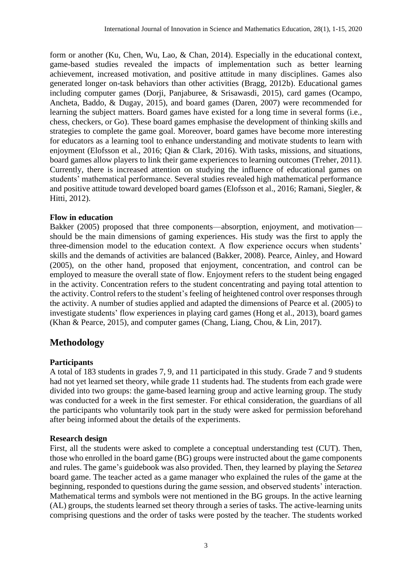form or another (Ku, Chen, Wu, Lao, & Chan, 2014). Especially in the educational context, game-based studies revealed the impacts of implementation such as better learning achievement, increased motivation, and positive attitude in many disciplines. Games also generated longer on-task behaviors than other activities (Bragg, 2012b). Educational games including computer games (Dorji, Panjaburee, & Srisawasdi, 2015), card games (Ocampo, Ancheta, Baddo, & Dugay, 2015), and board games (Daren, 2007) were recommended for learning the subject matters. Board games have existed for a long time in several forms (i.e., chess, checkers, or Go). These board games emphasise the development of thinking skills and strategies to complete the game goal. Moreover, board games have become more interesting for educators as a learning tool to enhance understanding and motivate students to learn with enjoyment (Elofsson et al., 2016; Qian & Clark, 2016). With tasks, missions, and situations, board games allow players to link their game experiences to learning outcomes (Treher, 2011). Currently, there is increased attention on studying the influence of educational games on students' mathematical performance. Several studies revealed high mathematical performance and positive attitude toward developed board games (Elofsson et al., 2016; Ramani, Siegler, & Hitti, 2012).

## **Flow in education**

Bakker (2005) proposed that three components—absorption, enjoyment, and motivation should be the main dimensions of gaming experiences. His study was the first to apply the three-dimension model to the education context. A flow experience occurs when students' skills and the demands of activities are balanced (Bakker, 2008). Pearce, Ainley, and Howard (2005), on the other hand, proposed that enjoyment, concentration, and control can be employed to measure the overall state of flow. Enjoyment refers to the student being engaged in the activity. Concentration refers to the student concentrating and paying total attention to the activity. Control refers to the student's feeling of heightened control over responses through the activity. A number of studies applied and adapted the dimensions of Pearce et al. (2005) to investigate students' flow experiences in playing card games (Hong et al., 2013), board games (Khan & Pearce, 2015), and computer games (Chang, Liang, Chou, & Lin, 2017).

# **Methodology**

## **Participants**

A total of 183 students in grades 7, 9, and 11 participated in this study. Grade 7 and 9 students had not yet learned set theory, while grade 11 students had. The students from each grade were divided into two groups: the game-based learning group and active learning group. The study was conducted for a week in the first semester. For ethical consideration, the guardians of all the participants who voluntarily took part in the study were asked for permission beforehand after being informed about the details of the experiments.

## **Research design**

First, all the students were asked to complete a conceptual understanding test (CUT). Then, those who enrolled in the board game (BG) groups were instructed about the game components and rules. The game's guidebook was also provided. Then, they learned by playing the *Setarea* board game. The teacher acted as a game manager who explained the rules of the game at the beginning, responded to questions during the game session, and observed students' interaction. Mathematical terms and symbols were not mentioned in the BG groups. In the active learning (AL) groups, the students learned set theory through a series of tasks. The active-learning units comprising questions and the order of tasks were posted by the teacher. The students worked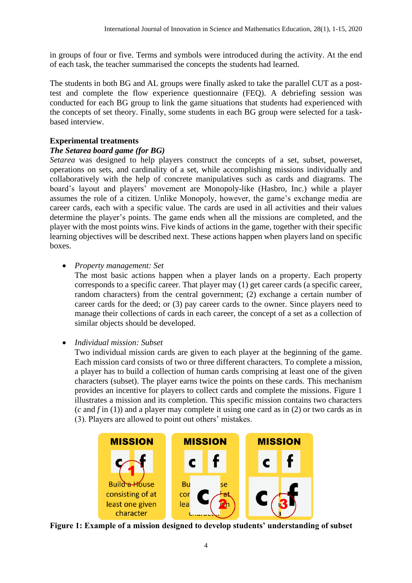in groups of four or five. Terms and symbols were introduced during the activity. At the end of each task, the teacher summarised the concepts the students had learned.

The students in both BG and AL groups were finally asked to take the parallel CUT as a posttest and complete the flow experience questionnaire (FEQ). A debriefing session was conducted for each BG group to link the game situations that students had experienced with the concepts of set theory. Finally, some students in each BG group were selected for a taskbased interview.

## **Experimental treatments**

## *The Setarea board game (for BG)*

*Setarea* was designed to help players construct the concepts of a set, subset, powerset, operations on sets, and cardinality of a set, while accomplishing missions individually and collaboratively with the help of concrete manipulatives such as cards and diagrams. The board's layout and players' movement are Monopoly-like (Hasbro, Inc.) while a player assumes the role of a citizen. Unlike Monopoly, however, the game's exchange media are career cards, each with a specific value. The cards are used in all activities and their values determine the player's points. The game ends when all the missions are completed, and the player with the most points wins. Five kinds of actions in the game, together with their specific learning objectives will be described next. These actions happen when players land on specific boxes.

## • *Property management: Set*

The most basic actions happen when a player lands on a property. Each property corresponds to a specific career. That player may (1) get career cards (a specific career, random characters) from the central government; (2) exchange a certain number of career cards for the deed; or (3) pay career cards to the owner. Since players need to manage their collections of cards in each career, the concept of a set as a collection of similar objects should be developed.

# • *Individual mission: Subset*

Two individual mission cards are given to each player at the beginning of the game. Each mission card consists of two or three different characters. To complete a mission, a player has to build a collection of human cards comprising at least one of the given characters (subset). The player earns twice the points on these cards. This mechanism provides an incentive for players to collect cards and complete the missions. Figure 1 illustrates a mission and its completion. This specific mission contains two characters (*c* and *f* in (1)) and a player may complete it using one card as in (2) or two cards as in (3). Players are allowed to point out others' mistakes.



**Figure 1: Example of a mission designed to develop students' understanding of subset**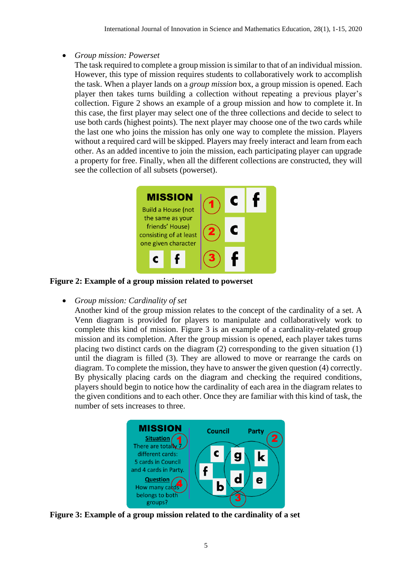## • *Group mission: Powerset*

The task required to complete a group mission is similar to that of an individual mission. However, this type of mission requires students to collaboratively work to accomplish the task. When a player lands on a *group mission* box, a group mission is opened. Each player then takes turns building a collection without repeating a previous player's collection. Figure 2 shows an example of a group mission and how to complete it. In this case, the first player may select one of the three collections and decide to select to use both cards (highest points). The next player may choose one of the two cards while the last one who joins the mission has only one way to complete the mission. Players without a required card will be skipped. Players may freely interact and learn from each other. As an added incentive to join the mission, each participating player can upgrade a property for free. Finally, when all the different collections are constructed, they will see the collection of all subsets (powerset).



**Figure 2: Example of a group mission related to powerset**

• *Group mission: Cardinality of set*

Another kind of the group mission relates to the concept of the cardinality of a set. A Venn diagram is provided for players to manipulate and collaboratively work to complete this kind of mission. Figure 3 is an example of a cardinality-related group mission and its completion. After the group mission is opened, each player takes turns placing two distinct cards on the diagram (2) corresponding to the given situation (1) until the diagram is filled (3). They are allowed to move or rearrange the cards on diagram. To complete the mission, they have to answer the given question (4) correctly. By physically placing cards on the diagram and checking the required conditions, players should begin to notice how the cardinality of each area in the diagram relates to the given conditions and to each other. Once they are familiar with this kind of task, the number of sets increases to three.



**Figure 3: Example of a group mission related to the cardinality of a set**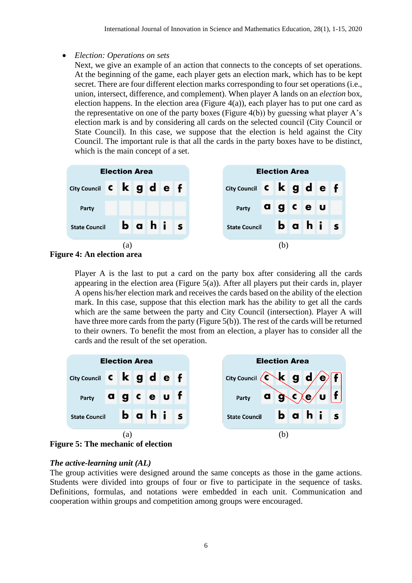## • *Election: Operations on sets*

Next, we give an example of an action that connects to the concepts of set operations. At the beginning of the game, each player gets an election mark, which has to be kept secret. There are four different election marks corresponding to four set operations (i.e., union, intersect, difference, and complement). When player A lands on an *election* box, election happens. In the election area (Figure  $4(a)$ ), each player has to put one card as the representative on one of the party boxes (Figure 4(b)) by guessing what player A's election mark is and by considering all cards on the selected council (City Council or State Council). In this case, we suppose that the election is held against the City Council. The important rule is that all the cards in the party boxes have to be distinct, which is the main concept of a set.





Player A is the last to put a card on the party box after considering all the cards appearing in the election area (Figure 5(a)). After all players put their cards in, player A opens his/her election mark and receives the cards based on the ability of the election mark. In this case, suppose that this election mark has the ability to get all the cards which are the same between the party and City Council (intersection). Player A will have three more cards from the party (Figure 5(b)). The rest of the cards will be returned to their owners. To benefit the most from an election, a player has to consider all the cards and the result of the set operation.



## *The active-learning unit (AL)*

The group activities were designed around the same concepts as those in the game actions. Students were divided into groups of four or five to participate in the sequence of tasks. Definitions, formulas, and notations were embedded in each unit. Communication and cooperation within groups and competition among groups were encouraged.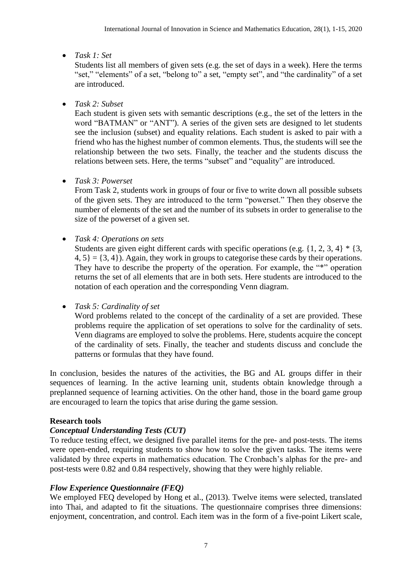# • *Task 1: Set*

Students list all members of given sets (e.g. the set of days in a week). Here the terms "set," "elements" of a set, "belong to" a set, "empty set", and "the cardinality" of a set are introduced.

# • *Task 2: Subset*

Each student is given sets with semantic descriptions (e.g., the set of the letters in the word "BATMAN" or "ANT"). A series of the given sets are designed to let students see the inclusion (subset) and equality relations. Each student is asked to pair with a friend who has the highest number of common elements. Thus, the students will see the relationship between the two sets. Finally, the teacher and the students discuss the relations between sets. Here, the terms "subset" and "equality" are introduced.

# • *Task 3: Powerset*

From Task 2, students work in groups of four or five to write down all possible subsets of the given sets. They are introduced to the term "powerset." Then they observe the number of elements of the set and the number of its subsets in order to generalise to the size of the powerset of a given set.

• *Task 4: Operations on sets*

Students are given eight different cards with specific operations (e.g.  $\{1, 2, 3, 4\}$  \*  $\{3, 4\}$  $4, 5$  = {3, 4}). Again, they work in groups to categorise these cards by their operations. They have to describe the property of the operation. For example, the "\*" operation returns the set of all elements that are in both sets. Here students are introduced to the notation of each operation and the corresponding Venn diagram.

# • *Task 5: Cardinality of set*

Word problems related to the concept of the cardinality of a set are provided. These problems require the application of set operations to solve for the cardinality of sets. Venn diagrams are employed to solve the problems. Here, students acquire the concept of the cardinality of sets. Finally, the teacher and students discuss and conclude the patterns or formulas that they have found.

In conclusion, besides the natures of the activities, the BG and AL groups differ in their sequences of learning. In the active learning unit, students obtain knowledge through a preplanned sequence of learning activities. On the other hand, those in the board game group are encouraged to learn the topics that arise during the game session.

# **Research tools**

# *Conceptual Understanding Tests (CUT)*

To reduce testing effect, we designed five parallel items for the pre- and post-tests. The items were open-ended, requiring students to show how to solve the given tasks. The items were validated by three experts in mathematics education. The Cronbach's alphas for the pre- and post-tests were 0.82 and 0.84 respectively, showing that they were highly reliable.

# *Flow Experience Questionnaire (FEQ)*

We employed FEQ developed by Hong et al., (2013). Twelve items were selected, translated into Thai, and adapted to fit the situations. The questionnaire comprises three dimensions: enjoyment, concentration, and control. Each item was in the form of a five-point Likert scale,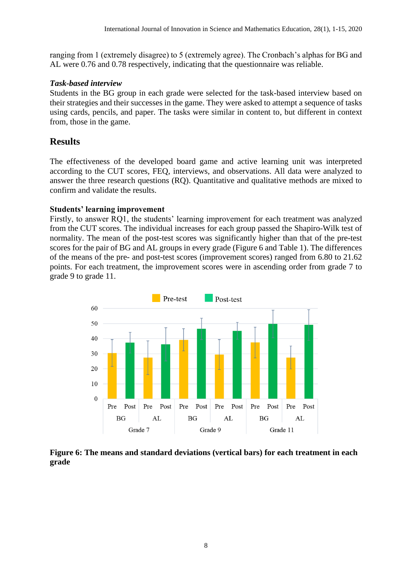ranging from 1 (extremely disagree) to 5 (extremely agree). The Cronbach's alphas for BG and AL were 0.76 and 0.78 respectively, indicating that the questionnaire was reliable.

## *Task-based interview*

Students in the BG group in each grade were selected for the task-based interview based on their strategies and their successes in the game. They were asked to attempt a sequence of tasks using cards, pencils, and paper. The tasks were similar in content to, but different in context from, those in the game.

# **Results**

The effectiveness of the developed board game and active learning unit was interpreted according to the CUT scores, FEQ, interviews, and observations. All data were analyzed to answer the three research questions (RQ). Quantitative and qualitative methods are mixed to confirm and validate the results.

# **Students' learning improvement**

Firstly, to answer RQ1, the students' learning improvement for each treatment was analyzed from the CUT scores. The individual increases for each group passed the Shapiro-Wilk test of normality. The mean of the post-test scores was significantly higher than that of the pre-test scores for the pair of BG and AL groups in every grade (Figure 6 and Table 1). The differences of the means of the pre- and post-test scores (improvement scores) ranged from 6.80 to 21.62 points. For each treatment, the improvement scores were in ascending order from grade 7 to grade 9 to grade 11.



**Figure 6: The means and standard deviations (vertical bars) for each treatment in each grade**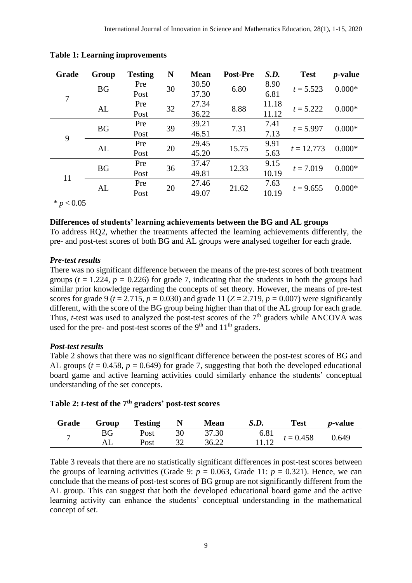| Grade | Group     | <b>Testing</b> | N  | <b>Mean</b> | Post-Pre | S.D.  | <b>Test</b>  | <i>p</i> -value |
|-------|-----------|----------------|----|-------------|----------|-------|--------------|-----------------|
|       | <b>BG</b> | Pre            | 30 | 30.50       | 6.80     | 8.90  | $t = 5.523$  | $0.000*$        |
| 7     |           | Post           |    | 37.30       |          | 6.81  |              |                 |
|       |           | Pre            | 32 | 27.34       | 8.88     | 11.18 | $t = 5.222$  | $0.000*$        |
|       | AL        | Post           |    | 36.22       |          | 11.12 |              |                 |
| 9     | <b>BG</b> | Pre            | 39 | 39.21       | 7.31     | 7.41  | $t = 5.997$  | $0.000*$        |
|       |           | Post           |    | 46.51       |          | 7.13  |              |                 |
|       | AL        | Pre            | 20 | 29.45       | 15.75    | 9.91  | $t = 12.773$ | $0.000*$        |
|       |           | Post           |    | 45.20       |          | 5.63  |              |                 |
| 11    | <b>BG</b> | Pre            |    | 37.47       | 12.33    | 9.15  | $t = 7.019$  | $0.000*$        |
|       |           | Post           | 36 | 49.81       |          | 10.19 |              |                 |
|       | AL        | Pre            | 20 | 27.46       | 21.62    | 7.63  | $t = 9.655$  | $0.000*$        |
|       |           | Post           |    | 49.07       |          | 10.19 |              |                 |

**Table 1: Learning improvements**

 $* p < 0.05$ 

## **Differences of students' learning achievements between the BG and AL groups**

To address RQ2, whether the treatments affected the learning achievements differently, the pre- and post-test scores of both BG and AL groups were analysed together for each grade.

#### *Pre-test results*

There was no significant difference between the means of the pre-test scores of both treatment groups ( $t = 1.224$ ,  $p = 0.226$ ) for grade 7, indicating that the students in both the groups had similar prior knowledge regarding the concepts of set theory. However, the means of pre-test scores for grade 9 ( $t = 2.715$ ,  $p = 0.030$ ) and grade 11 ( $Z = 2.719$ ,  $p = 0.007$ ) were significantly different, with the score of the BG group being higher than that of the AL group for each grade. Thus, *t*-test was used to analyzed the post-test scores of the  $7<sup>th</sup>$  graders while ANCOVA was used for the pre- and post-test scores of the  $9<sup>th</sup>$  and  $11<sup>th</sup>$  graders.

## *Post-test results*

Table 2 shows that there was no significant difference between the post-test scores of BG and AL groups ( $t = 0.458$ ,  $p = 0.649$ ) for grade 7, suggesting that both the developed educational board game and active learning activities could similarly enhance the students' conceptual understanding of the set concepts.

| Grade | Group | <b>Testing</b> | N  | <b>Mean</b> | S.D.            | Test        | <i>p</i> -value |
|-------|-------|----------------|----|-------------|-----------------|-------------|-----------------|
| −     | BG    | Post           | 30 | 37.30       | $6.81$<br>11.12 | $t = 0.458$ | 0.649           |
|       |       | Post           |    | 36.22       |                 |             |                 |

| Table 2: $t$ -test of the $7th$ graders' post-test scores |  |  |  |
|-----------------------------------------------------------|--|--|--|
|-----------------------------------------------------------|--|--|--|

Table 3 reveals that there are no statistically significant differences in post-test scores between the groups of learning activities (Grade 9:  $p = 0.063$ , Grade 11:  $p = 0.321$ ). Hence, we can conclude that the means of post-test scores of BG group are not significantly different from the AL group. This can suggest that both the developed educational board game and the active learning activity can enhance the students' conceptual understanding in the mathematical concept of set.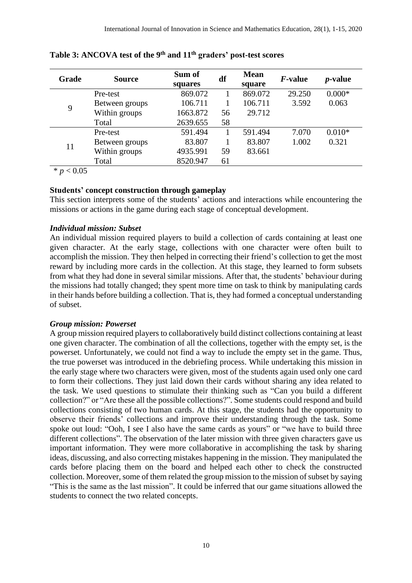| Grade | <b>Source</b>  | Sum of<br>squares | df | <b>Mean</b><br>square | <i>F</i> -value | <i>p</i> -value |
|-------|----------------|-------------------|----|-----------------------|-----------------|-----------------|
|       | Pre-test       | 869.072           |    | 869.072               | 29.250          | $0.000*$        |
| 9     | Between groups | 106.711           |    | 106.711               | 3.592           | 0.063           |
|       | Within groups  | 1663.872          | 56 | 29.712                |                 |                 |
|       | Total          | 2639.655          | 58 |                       |                 |                 |
| 11    | Pre-test       | 591.494           |    | 591.494               | 7.070           | $0.010*$        |
|       | Between groups | 83.807            |    | 83.807                | 1.002           | 0.321           |
|       | Within groups  | 4935.991          | 59 | 83.661                |                 |                 |
|       | Total          | 8520.947          | 61 |                       |                 |                 |

**Table 3: ANCOVA test of the 9th and 11th graders' post-test scores**

 $* p < 0.05$ 

## **Students' concept construction through gameplay**

This section interprets some of the students' actions and interactions while encountering the missions or actions in the game during each stage of conceptual development.

#### *Individual mission: Subset*

An individual mission required players to build a collection of cards containing at least one given character. At the early stage, collections with one character were often built to accomplish the mission. They then helped in correcting their friend's collection to get the most reward by including more cards in the collection. At this stage, they learned to form subsets from what they had done in several similar missions. After that, the students' behaviour during the missions had totally changed; they spent more time on task to think by manipulating cards in their hands before building a collection. That is, they had formed a conceptual understanding of subset.

#### *Group mission: Powerset*

A group mission required players to collaboratively build distinct collections containing at least one given character. The combination of all the collections, together with the empty set, is the powerset. Unfortunately, we could not find a way to include the empty set in the game. Thus, the true powerset was introduced in the debriefing process. While undertaking this mission in the early stage where two characters were given, most of the students again used only one card to form their collections. They just laid down their cards without sharing any idea related to the task. We used questions to stimulate their thinking such as "Can you build a different collection?" or "Are these all the possible collections?". Some students could respond and build collections consisting of two human cards. At this stage, the students had the opportunity to observe their friends' collections and improve their understanding through the task. Some spoke out loud: "Ooh, I see I also have the same cards as yours" or "we have to build three different collections". The observation of the later mission with three given characters gave us important information. They were more collaborative in accomplishing the task by sharing ideas, discussing, and also correcting mistakes happening in the mission. They manipulated the cards before placing them on the board and helped each other to check the constructed collection. Moreover, some of them related the group mission to the mission of subset by saying "This is the same as the last mission". It could be inferred that our game situations allowed the students to connect the two related concepts.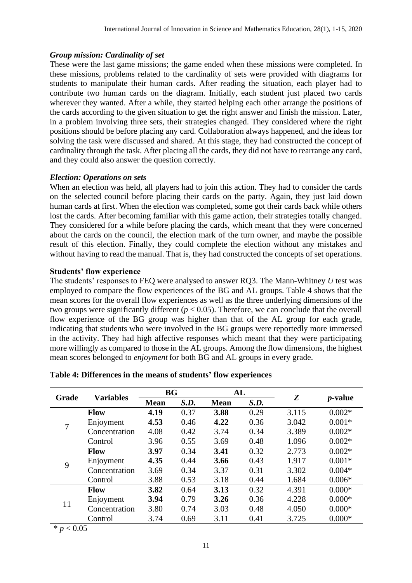## *Group mission: Cardinality of set*

These were the last game missions; the game ended when these missions were completed. In these missions, problems related to the cardinality of sets were provided with diagrams for students to manipulate their human cards. After reading the situation, each player had to contribute two human cards on the diagram. Initially, each student just placed two cards wherever they wanted. After a while, they started helping each other arrange the positions of the cards according to the given situation to get the right answer and finish the mission. Later, in a problem involving three sets, their strategies changed. They considered where the right positions should be before placing any card. Collaboration always happened, and the ideas for solving the task were discussed and shared. At this stage, they had constructed the concept of cardinality through the task. After placing all the cards, they did not have to rearrange any card, and they could also answer the question correctly.

## *Election: Operations on sets*

When an election was held, all players had to join this action. They had to consider the cards on the selected council before placing their cards on the party. Again, they just laid down human cards at first. When the election was completed, some got their cards back while others lost the cards. After becoming familiar with this game action, their strategies totally changed. They considered for a while before placing the cards, which meant that they were concerned about the cards on the council, the election mark of the turn owner, and maybe the possible result of this election. Finally, they could complete the election without any mistakes and without having to read the manual. That is, they had constructed the concepts of set operations.

## **Students' flow experience**

The students' responses to FEQ were analysed to answer RQ3. The Mann-Whitney *U* test was employed to compare the flow experiences of the BG and AL groups. Table 4 shows that the mean scores for the overall flow experiences as well as the three underlying dimensions of the two groups were significantly different  $(p < 0.05)$ . Therefore, we can conclude that the overall flow experience of the BG group was higher than that of the AL group for each grade, indicating that students who were involved in the BG groups were reportedly more immersed in the activity. They had high affective responses which meant that they were participating more willingly as compared to those in the AL groups. Among the flow dimensions, the highest mean scores belonged to *enjoyment* for both BG and AL groups in every grade.

| Grade | <b>Variables</b> | BG          |      | AL          |      | Z     |                 |
|-------|------------------|-------------|------|-------------|------|-------|-----------------|
|       |                  | <b>Mean</b> | S.D. | <b>Mean</b> | S.D. |       | <i>p</i> -value |
|       | <b>Flow</b>      | 4.19        | 0.37 | 3.88        | 0.29 | 3.115 | $0.002*$        |
| 7     | Enjoyment        | 4.53        | 0.46 | 4.22        | 0.36 | 3.042 | $0.001*$        |
|       | Concentration    | 4.08        | 0.42 | 3.74        | 0.34 | 3.389 | $0.002*$        |
|       | Control          | 3.96        | 0.55 | 3.69        | 0.48 | 1.096 | $0.002*$        |
| 9     | Flow             | 3.97        | 0.34 | 3.41        | 0.32 | 2.773 | $0.002*$        |
|       | Enjoyment        | 4.35        | 0.44 | 3.66        | 0.43 | 1.917 | $0.001*$        |
|       | Concentration    | 3.69        | 0.34 | 3.37        | 0.31 | 3.302 | $0.004*$        |
|       | Control          | 3.88        | 0.53 | 3.18        | 0.44 | 1.684 | $0.006*$        |
| 11    | <b>Flow</b>      | 3.82        | 0.64 | 3.13        | 0.32 | 4.391 | $0.000*$        |
|       | Enjoyment        | 3.94        | 0.79 | 3.26        | 0.36 | 4.228 | $0.000*$        |
|       | Concentration    | 3.80        | 0.74 | 3.03        | 0.48 | 4.050 | $0.000*$        |
|       | Control          | 3.74        | 0.69 | 3.11        | 0.41 | 3.725 | $0.000*$        |

| Table 4: Differences in the means of students' flow experiences |  |
|-----------------------------------------------------------------|--|
|-----------------------------------------------------------------|--|

 $* p < 0.05$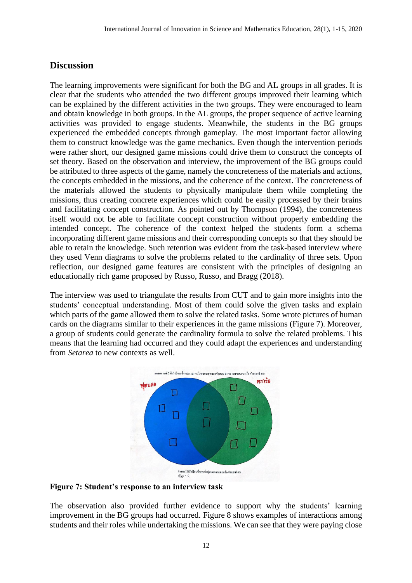# **Discussion**

The learning improvements were significant for both the BG and AL groups in all grades. It is clear that the students who attended the two different groups improved their learning which can be explained by the different activities in the two groups. They were encouraged to learn and obtain knowledge in both groups. In the AL groups, the proper sequence of active learning activities was provided to engage students. Meanwhile, the students in the BG groups experienced the embedded concepts through gameplay. The most important factor allowing them to construct knowledge was the game mechanics. Even though the intervention periods were rather short, our designed game missions could drive them to construct the concepts of set theory. Based on the observation and interview, the improvement of the BG groups could be attributed to three aspects of the game, namely the concreteness of the materials and actions, the concepts embedded in the missions, and the coherence of the context. The concreteness of the materials allowed the students to physically manipulate them while completing the missions, thus creating concrete experiences which could be easily processed by their brains and facilitating concept construction. As pointed out by Thompson (1994), the concreteness itself would not be able to facilitate concept construction without properly embedding the intended concept. The coherence of the context helped the students form a schema incorporating different game missions and their corresponding concepts so that they should be able to retain the knowledge. Such retention was evident from the task-based interview where they used Venn diagrams to solve the problems related to the cardinality of three sets. Upon reflection, our designed game features are consistent with the principles of designing an educationally rich game proposed by Russo, Russo, and Bragg (2018).

The interview was used to triangulate the results from CUT and to gain more insights into the students' conceptual understanding. Most of them could solve the given tasks and explain which parts of the game allowed them to solve the related tasks. Some wrote pictures of human cards on the diagrams similar to their experiences in the game missions (Figure 7). Moreover, a group of students could generate the cardinality formula to solve the related problems. This means that the learning had occurred and they could adapt the experiences and understanding from *Setarea* to new contexts as well.



**Figure 7: Student's response to an interview task**

The observation also provided further evidence to support why the students' learning improvement in the BG groups had occurred. Figure 8 shows examples of interactions among students and their roles while undertaking the missions. We can see that they were paying close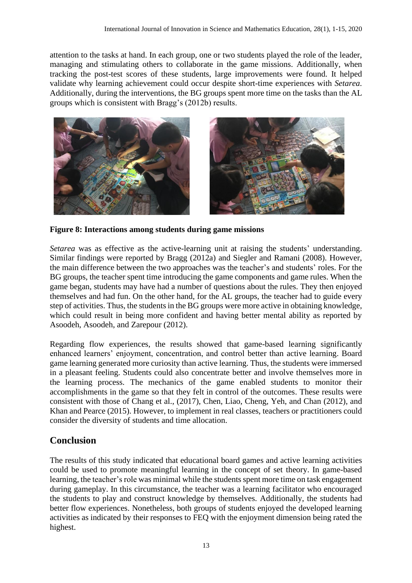attention to the tasks at hand. In each group, one or two students played the role of the leader, managing and stimulating others to collaborate in the game missions. Additionally, when tracking the post-test scores of these students, large improvements were found. It helped validate why learning achievement could occur despite short-time experiences with *Setarea*. Additionally, during the interventions, the BG groups spent more time on the tasks than the AL groups which is consistent with Bragg's (2012b) results.



**Figure 8: Interactions among students during game missions**

*Setarea* was as effective as the active-learning unit at raising the students' understanding. Similar findings were reported by Bragg (2012a) and Siegler and Ramani (2008). However, the main difference between the two approaches was the teacher's and students' roles. For the BG groups, the teacher spent time introducing the game components and game rules. When the game began, students may have had a number of questions about the rules. They then enjoyed themselves and had fun. On the other hand, for the AL groups, the teacher had to guide every step of activities. Thus, the students in the BG groups were more active in obtaining knowledge, which could result in being more confident and having better mental ability as reported by Asoodeh, Asoodeh, and Zarepour (2012).

Regarding flow experiences, the results showed that game-based learning significantly enhanced learners' enjoyment, concentration, and control better than active learning. Board game learning generated more curiosity than active learning. Thus, the students were immersed in a pleasant feeling. Students could also concentrate better and involve themselves more in the learning process. The mechanics of the game enabled students to monitor their accomplishments in the game so that they felt in control of the outcomes. These results were consistent with those of Chang et al., (2017), Chen, Liao, Cheng, Yeh, and Chan (2012), and Khan and Pearce (2015). However, to implement in real classes, teachers or practitioners could consider the diversity of students and time allocation.

# **Conclusion**

The results of this study indicated that educational board games and active learning activities could be used to promote meaningful learning in the concept of set theory. In game-based learning, the teacher's role was minimal while the students spent more time on task engagement during gameplay. In this circumstance, the teacher was a learning facilitator who encouraged the students to play and construct knowledge by themselves. Additionally, the students had better flow experiences. Nonetheless, both groups of students enjoyed the developed learning activities as indicated by their responses to FEQ with the enjoyment dimension being rated the highest.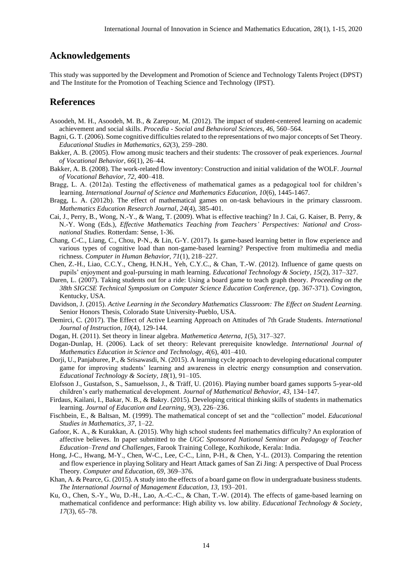# **Acknowledgements**

This study was supported by the Development and Promotion of Science and Technology Talents Project (DPST) and The Institute for the Promotion of Teaching Science and Technology (IPST).

## **References**

- Asoodeh, M. H., Asoodeh, M. B., & Zarepour, M. (2012). The impact of student-centered learning on academic achievement and social skills. *Procedia - Social and Behavioral Sciences*, *46*, 560–564.
- Bagni, G. T. (2006). Some cognitive difficulties related to the representations of two major concepts of Set Theory. *Educational Studies in Mathematics*, *62*(3), 259–280.
- Bakker, A. B. (2005). Flow among music teachers and their students: The crossover of peak experiences. *Journal of Vocational Behavior*, *66*(1), 26–44.
- Bakker, A. B. (2008). The work-related flow inventory: Construction and initial validation of the WOLF. *Journal of Vocational Behavior*, *72,* 400–418.
- Bragg, L. A. (2012a). Testing the effectiveness of mathematical games as a pedagogical tool for children's learning. *International Journal of Science and Mathematics Education, 10*(6), 1445-1467.
- Bragg, L. A. (2012b). The effect of mathematical games on on-task behaviours in the primary classroom. *Mathematics Education Research Journal*, *24*(4), 385-401.
- Cai, J., Perry, B., Wong, N.-Y., & Wang, T. (2009). What is effective teaching? In J. Cai, G. Kaiser, B. Perry, & N.-Y. Wong (Eds.), *Effective Mathematics Teaching from Teachers' Perspectives: National and Crossnational Studies.* Rotterdam: Sense, 1-36.
- Chang, C-C., Liang, C., Chou, P-N., & Lin, G-Y. (2017). Is game-based learning better in flow experience and various types of cognitive load than non-game-based learning? Perspective from multimedia and media richness. *Computer in Human Behavior, 71*(1), 218–227.
- Chen, Z.-H., Liao, C.C.Y., Cheng, H.N.H., Yeh, C.Y.C., & Chan, T.-W. (2012). Influence of game quests on pupils' enjoyment and goal-pursuing in math learning. *Educational Technology & Society*, *15*(2), 317–327.
- Daren, L. (2007). Taking students out for a ride: Using a board game to teach graph theory. *Proceeding on the 38th SIGCSE Technical Symposium on Computer Science Education Conference*, (pp. 367-371). Covington, Kentucky, USA.
- Davidson, J. (2015). *Active Learning in the Secondary Mathematics Classroom: The Effect on Student Learning.* Senior Honors Thesis, Colorado State University-Pueblo, USA.
- Demirci, C. (2017). The Effect of Active Learning Approach on Attitudes of 7th Grade Students. *International Journal of Instruction, 10*(4), 129-144.
- Dogan, H. (2011). Set theory in linear algebra. *Mathemetica Aeterna*, *1*(5), 317–327.
- Dogan-Dunlap, H. (2006). Lack of set theory: Relevant prerequisite knowledge. *International Journal of Mathematics Education in Science and Technology, 4*(6), 401–410.
- Dorji, U., Panjaburee, P., & Srisawasdi, N. (2015). A learning cycle approach to developing educational computer game for improving students' learning and awareness in electric energy consumption and conservation. *Educational Technology & Society, 18*(1), 91–105.
- Elofsson J., Gustafson, S., Samuelsson, J., & Träff, U. (2016). Playing number board games supports 5-year-old children's early mathematical development. *Journal of Mathematical Behavior, 43*, 134–147.
- Firdaus, Kailani, I., Bakar, N. B., & Bakry. (2015). Developing critical thinking skills of students in mathematics learning. *Journal of Education and Learning*, *9*(3), 226–236.
- Fischbein, E., & Baltsan, M. (1999). The mathematical concept of set and the "collection" model. *Educational Studies in Mathematics, 37*, 1–22.
- Gafoor, K. A., & Kurakkan, A. (2015). Why high school students feel mathematics difficulty? An exploration of affective believes. In paper submitted to the *UGC Sponsored National Seminar on Pedagogy of Teacher Education–Trend and Challenges*, Farook Training College, Kozhikode, Kerala: India.
- Hong, J-C., Hwang, M-Y., Chen, W-C., Lee, C-C., Linn, P-H., & Chen, Y-L. (2013). Comparing the retention and flow experience in playing Solitary and Heart Attack games of San Zi Jing: A perspective of Dual Process Theory. *Computer and Education, 69,* 369–376.
- Khan, A. & Pearce, G. (2015). A study into the effects of a board game on flow in undergraduate business students. *The International Journal of Management Education*, *13*, 193–201.
- Ku, O., Chen, S.-Y., Wu, D.-H., Lao, A.-C.-C., & Chan, T.-W. (2014). The effects of game-based learning on mathematical confidence and performance: High ability vs. low ability. *Educational Technology & Society*, *17*(3), 65–78.